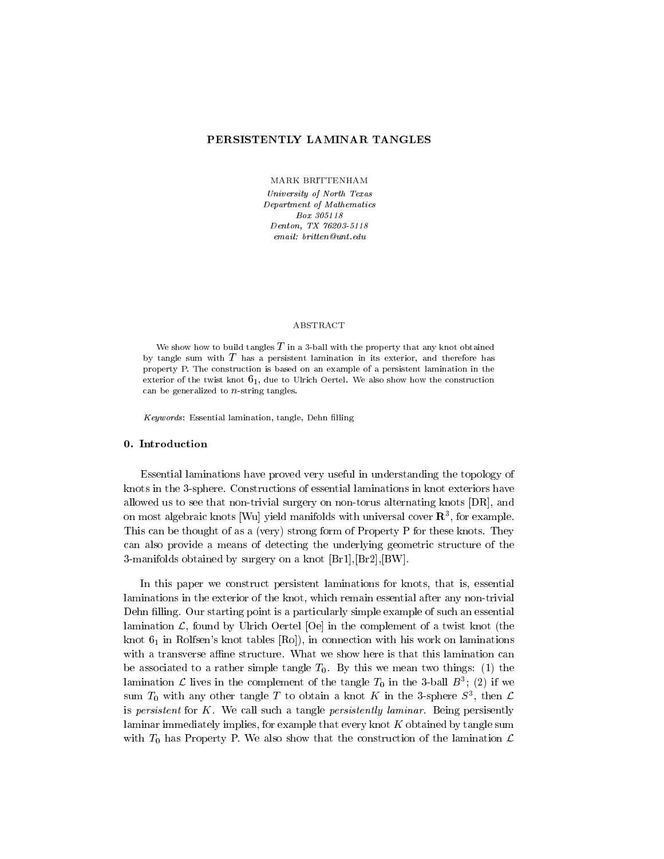# PERSISTENTLY LAMINAR TANGLES

MARK BRITTENHAM

University of North Texas Department of Mathematics Box 305118 Denton, TX 76203-5118 email: britten@unt.edu

#### ABSTRACT

We show how to build tangles  $T$  in a 3-ball with the property that any knot obtained by tangle sum with  $T$  has a persistent lamination in its exterior, and therefore has property P. The construction is based on an example of a persistent lamination in the exterior of the twist knot  $6<sub>1</sub>$ , due to Ulrich Oertel. We also show how the construction can be generalized to  $n$ -string tangles.

Keywords: Essential lamination, tangle, Dehn filling

#### 0. Introduction

Essential laminations have proved very useful in understanding the topology of knots in the 3-sphere. Constructions of essential laminations in knot exteriors have allowed us to see that non-trivial surgery on non-torus alternating knots [DR], and on most algebraic knots [wu] yield manifolds with universal cover  ${\bf n}$  , for example. This can be thought of as a (very) strong form of Property P for these knots. They can also provide a means of detecting the underlying geometric structure of the 3-manifolds obtained by surgery on a knot [Br1],[Br2],[BW].

In this paper we construct persistent laminations for knots, that is, essential laminations in the exterior of the knot, which remain essential after any non-trivial Dehn filling. Our starting point is a particularly simple example of such an essential lamination  $\mathcal{L}$ , found by Ulrich Oertel  $[Oe]$  in the complement of a twist knot (the knot  $6<sub>1</sub>$  in Rolfsen's knot tables [Ro]), in connection with his work on laminations with a transverse affine structure. What we show here is that this lamination can be associated to a rather simple tangle  $T_0$ . By this we mean two things: (1) the ramination  $\mathcal L$  lives in the complement of the tangle  $T_0$  in the 3-ball  $D$  ; (2) if we sum  $I_0$  with any other tangle T to obtain a knot  $K$  in the 3-sphere  $S^1$ , then  $L$ is persistent for  $K$ . We call such a tangle persistently laminar. Being persisently laminar immediately implies, for example that every knot K obtained by tangle sum with  $T_0$  has Property P. We also show that the construction of the lamination  $\mathcal L$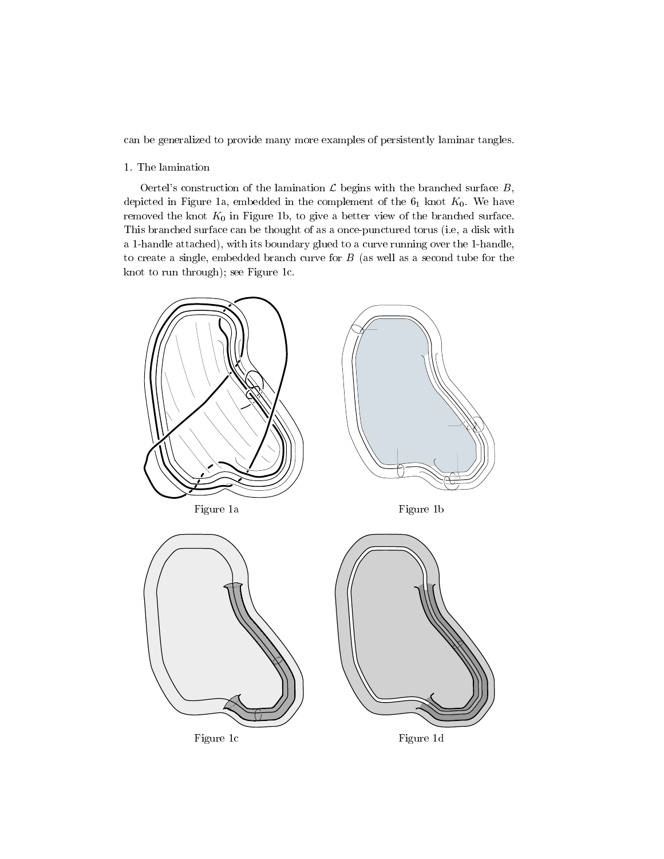can be generalized to provide many more examples of persistently laminar tangles.

# 1. The lamination

Oertel's construction of the lamination  $\mathcal L$  begins with the branched surface  $B$ , depicted in Figure 1a, embedded in the complement of the  $6<sub>1</sub>$  knot  $K<sub>0</sub>$ . We have removed the knot  $K_0$  in Figure 1b, to give a better view of the branched surface. This branched surface can be thought of as a once-punctured torus (i.e, a disk with a 1-handle attached), with its boundary glued to a curve running over the 1-handle, to create a single, embedded branch curve for  $B$  (as well as a second tube for the knot to run through); see Figure 1c.

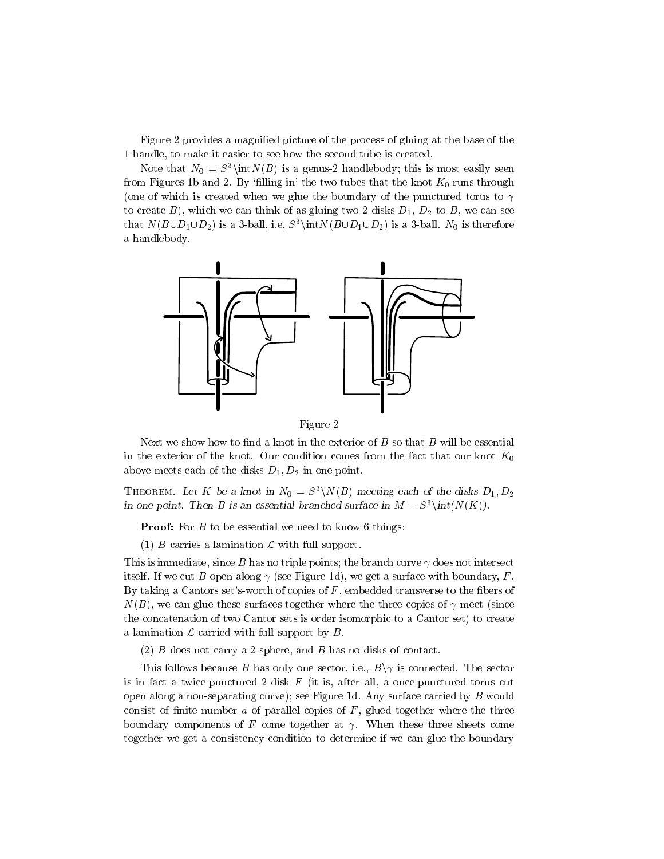Figure 2 provides a magnied picture of the process of gluing at the base of the 1-handle, to make it easier to see how the second tube is created.

Note that  $N_0 = S^3\int(N(B))$  is a genus-2 handlebody; this is most easily seen from Figures 1b and 2. By 'filling in' the two tubes that the knot  $K_0$  runs through (one of which is created when we glue the boundary of the punctured torus to  $\gamma$ to create B), which we can think of as gluing two 2-disks  $D_1$ ,  $D_2$  to B, we can see that  $N(B\cup D_1\cup D_2)$  is a 3-ball, i.e,  $S^3\int N(B\cup D_1\cup D_2)$  is a 3-ball.  $N_0$  is therefore a handlebody.



Figure 2

Next we show how to find a knot in the exterior of  $B$  so that  $B$  will be essential in the exterior of the knot. Our condition comes from the fact that our knot  $K_0$ above meets each of the disks  $D_1, D_2$  in one point.

THEOREM. Let K be a knot in  $N_0 = S^3 \backslash N(B)$  meeting each of the disks  $D_1, D_2$ in one point. Then B is an essential branched surface in  $M \equiv S^{\pm} \backslash \text{int}(N(\mathbf{K})),$ 

**Proof:** For  $B$  to be essential we need to know 6 things:

(1) B carries a lamination  $\mathcal L$  with full support.

This is immediate, since B has no triple points; the branch curve  $\gamma$  does not intersect itself. If we cut B open along  $\gamma$  (see Figure 1d), we get a surface with boundary, F. By taking a Cantors set's-worth of copies of  $F$ , embedded transverse to the fibers of  $N(B)$ , we can glue these surfaces together where the three copies of  $\gamma$  meet (since the concatenation of two Cantor sets is order isomorphic to a Cantor set) to create a lamination  $\mathcal L$  carried with full support by  $B$ .

(2) B does not carry a 2-sphere, and B has no disks of contact.

This follows because B has only one sector, i.e.,  $B\setminus \gamma$  is connected. The sector is in fact a twice-punctured 2-disk  $F$  (it is, after all, a once-punctured torus cut open along a non-separating curve); see Figure 1d. Any surface carried by  $B$  would consist of finite number  $a$  of parallel copies of  $F$ , glued together where the three boundary components of F come together at  $\gamma$ . When these three sheets come together we get a consistency condition to determine if we can glue the boundary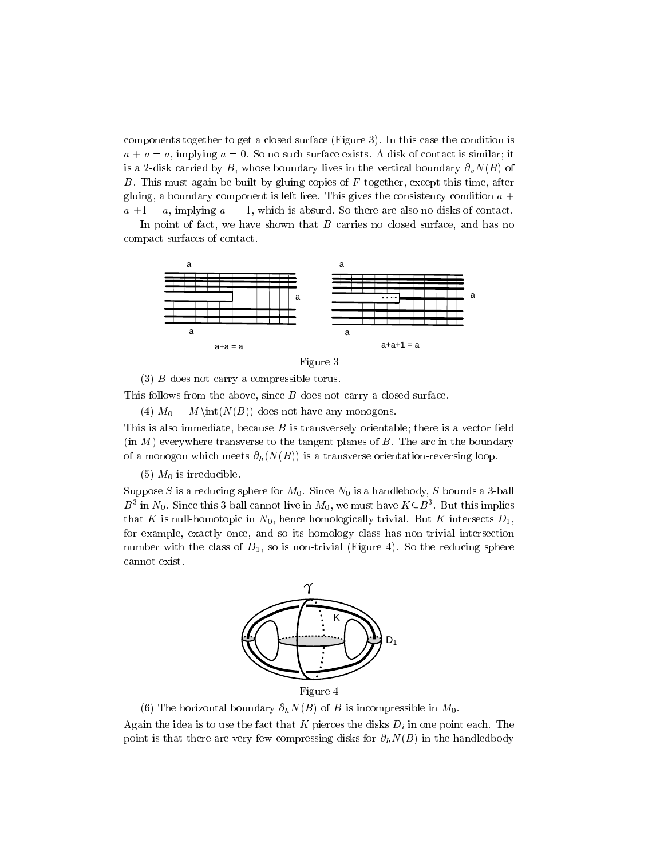components together to get a closed surface (Figure 3). In this case the condition is  $a + a = a$ , implying  $a = 0$ . So no such surface exists. A disk of contact is similar; it is a 2-disk carried by B, whose boundary lives in the vertical boundary  $\partial_{\nu}N(B)$  of B. This must again be built by gluing copies of  $F$  together, except this time, after gluing, a boundary component is left free. This gives the consistency condition  $a +$  $a +1 = a$ , implying  $a = -1$ , which is absurd. So there are also no disks of contact.

In point of fact, we have shown that  $B$  carries no closed surface, and has no compact surfaces of contact.





(3) B does not carry a compressible torus.

This follows from the above, since B does not carry a closed surface.

(4)  $M_0 = M\int(N(B))$  does not have any monogons.

This is also immediate, because  $B$  is transversely orientable; there is a vector field  $(in M)$  everywhere transverse to the tangent planes of  $B$ . The arc in the boundary of a monogon which meets  $\partial_h(N(B))$  is a transverse orientation-reversing loop.

 $(5)$   $M_0$  is irreducible.

Suppose S is a reducing sphere for  $M_0$ . Since  $N_0$  is a handlebody, S bounds a 3-ball  $D^+$  in TV<sub>0</sub>. Since this 3-ball cannot live in  $M_0$ , we must have  $K \subseteq D^+$ . But this implies that K is null-homotopic in  $N_0$ , hence homologically trivial. But K intersects  $D_1$ , for example, exactly once, and so its homology class has non-trivial intersection number with the class of  $D_1$ , so is non-trivial (Figure 4). So the reducing sphere cannot exist.



Figure 4

(6) The horizontal boundary  $\partial_h N(B)$  of B is incompressible in  $M_0$ .<br>Again the idea is to use the fact that K pierces the disks  $D_i$  in one point each. The point is that there are very few compressing disks for  $\partial_h N(B)$  in the handledbody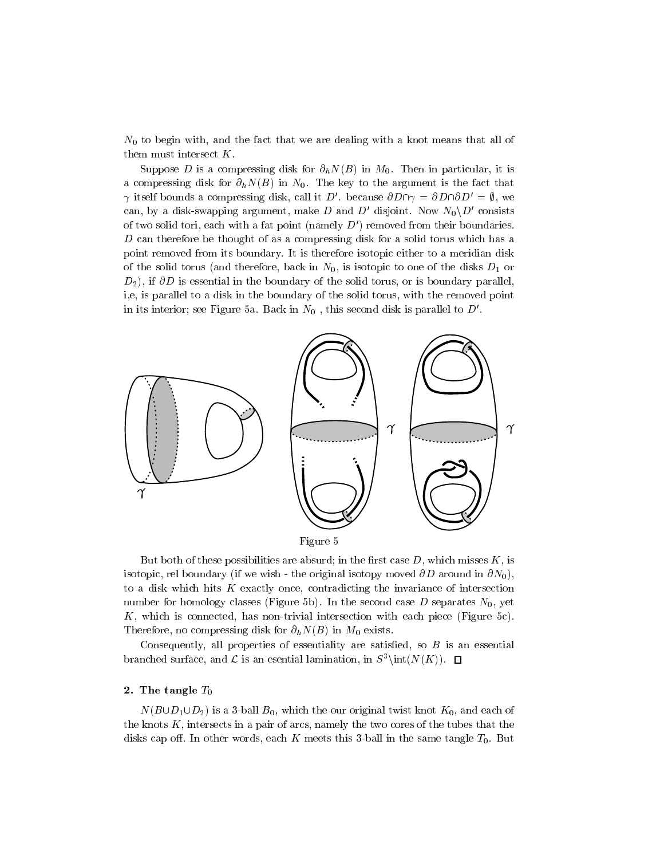$N_0$  to begin with, and the fact that we are dealing with a knot means that all of them must intersect  $K$ .

Suppose D is a compressing disk for  $\partial_h N(B)$  in  $M_0$ . Then in particular, it is a compressing disk for  $\partial_h N(B)$  in  $N_0$ . The key to the argument is the fact that  $\gamma$  itself bounds a compressing disk, call it D'. because  $\partial D \cap \gamma = \partial D \cap \partial D' = \emptyset$ , we can, by a disk-swapping argument, make D and D' disjoint. Now  $N_0\backslash D'$  consists of two solid tori, each with a fat point (namely  $D'$ ) removed from their boundaries. D can therefore be thought of as a compressing disk for a solid torus which has a point removed from its boundary. It is therefore isotopic either to a meridian disk of the solid torus (and therefore, back in  $N_0$ , is isotopic to one of the disks  $D_1$  or  $D_2$ ), if  $\partial D$  is essential in the boundary of the solid torus, or is boundary parallel. i,e, is parallel to a disk in the boundary of the solid torus, with the removed point in its interior; see Figure 5a. Back in  $N_0$ , this second disk is parallel to  $D'$ .



But both of these possibilities are absurd; in the first case  $D$ , which misses  $K$ , is isotopic, rel boundary (if we wish - the original isotopy moved  $\partial D$  around in  $\partial N_0$ ), to a disk which hits  $K$  exactly once, contradicting the invariance of intersection number for homology classes (Figure 5b). In the second case  $D$  separates  $N_0$ , yet K, which is connected, has non-trivial intersection with each piece (Figure 5c). Therefore, no compressing disk for  $\partial_h N(B)$  in  $M_0$  exists.

Consequently, all properties of essentiality are satisfied, so  $B$  is an essential branched surface, and  $\mathcal L$  is an esential lamination, in  $S^3\int(N(K))$ .  $\Box$ 

## 2. The tangle  $T_0$

 $N(B\cup D_1\cup D_2)$  is a 3-ball  $B_0$ , which the our original twist knot  $K_0$ , and each of the knots K, intersects in a pair of arcs, namely the two cores of the tubes that the disks cap off. In other words, each K meets this 3-ball in the same tangle  $T_0$ . But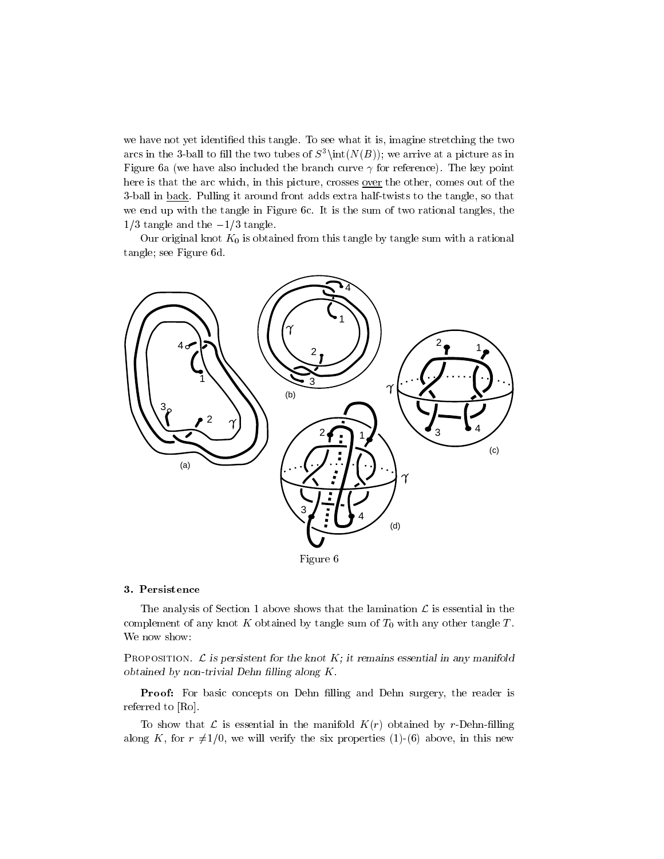we have not yet identied this tangle. To see what it is, imagine stretching the two arcs in the 3-ball to fill the two tubes of  $S^3\int(N(B))$ ; we arrive at a picture as in Figure 6a (we have also included the branch curve  $\gamma$  for reference). The key point here is that the arc which, in this picture, crosses <u>over</u> the other, comes out of the 3-ball in back. Pulling it around front adds extra half-twists to the tangle, so that we end up with the tangle in Figure 6c. It is the sum of two rational tangles, the  $1/3$  tangle and the  $-1/3$  tangle.

Our original knot  $K_0$  is obtained from this tangle by tangle sum with a rational tangle; see Figure 6d.



### 3. Persistence

The analysis of Section 1 above shows that the lamination  $\mathcal L$  is essential in the complement of any knot  $K$  obtained by tangle sum of  $T_0$  with any other tangle  $T$ . We now show:

PROPOSITION.  $\mathcal L$  is persistent for the knot  $K$ ; it remains essential in any manifold obtained by non-trivial Dehn lling along K.

Proof: For basic concepts on Dehn filling and Dehn surgery, the reader is referred to [Ro].

To show that  $\mathcal L$  is essential in the manifold  $K(r)$  obtained by r-Dehn-filling along K, for  $r \neq 1/0$ , we will verify the six properties (1)-(6) above, in this new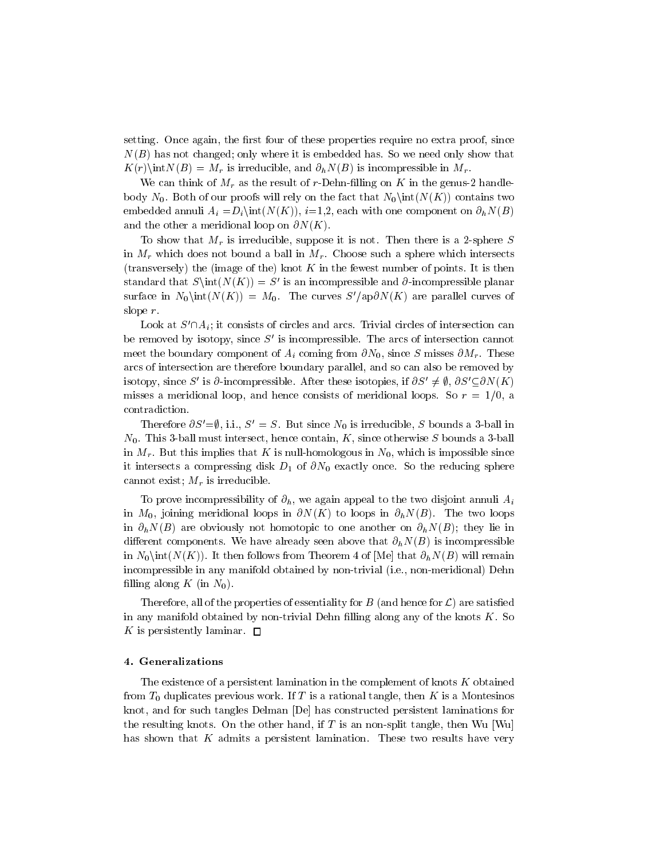setting. Once again, the first four of these properties require no extra proof, since  $N(B)$  has not changed; only where it is embedded has. So we need only show that  $K(r)\in N(H) = M_r$  is irreducible, and  $\partial_h N(B)$  is incompressible in  $M_r$ .<br>We can think of  $M_r$  as the result of r-Dehn-filling on K in the genus-2 handle-

body  $N_0$ . Both of our proofs will rely on the fact that  $N_0\in(N(K))$  contains two embedded annuli  $A_i = D_i$  int $(N(K))$ , i=1,2, each with one component on  $\partial_h N(B)$ and the other a meridional loop on  $\partial N(K)$ .

To show that  $M_r$  is irreducible, suppose it is not. Then there is a 2-sphere S in  $M_r$  which does not bound a ball in  $M_r$ . Choose such a sphere which intersects (transversely) the (image of the) knot  $K$  in the fewest number of points. It is then standard that  $S\int(N(K)) = S'$  is an incompressible and  $\partial$ -incompressible planar surface in  $N_0\in(N(K)) = M_0$ . The curves  $S'/ap\partial N(K)$  are parallel curves of slope r.

Look at  $S' \cap A_i$ ; it consists of circles and arcs. Trivial circles of intersection can be removed by isotopy, since  $S'$  is incompressible. The arcs of intersection cannot meet the boundary component of  $A_i$  coming from  $\partial N_0$ , since S misses  $\partial M_r$ . These arcs of intersection are therefore boundary parallel, and so can also be removed by isotopy, since S' is  $\partial$ -incompressible. After these isotopies, if  $\partial S' \neq \emptyset$ ,  $\partial S' \subseteq \partial N(K)$ misses a meridional loop, and hence consists of meridional loops. So  $r = 1/0$ , a contradiction.

Therefore  $\partial S' = \emptyset$ , i.i.,  $S' = S$ . But since  $N_0$  is irreducible, S bounds a 3-ball in  $N_0$ . This 3-ball must intersect, hence contain, K, since otherwise S bounds a 3-ball in  $M_r$ . But this implies that K is null-homologous in  $N_0$ , which is impossible since it intersects a compressing disk  $D_1$  of  $\partial N_0$  exactly once. So the reducing sphere cannot exist;  $M_r$  is irreducible.

To prove incompressibility of  $\partial_h$ , we again appeal to the two disjoint annuli  $A_i$ in  $M_0$ , joining meridional loops in  $\partial N(K)$  to loops in  $\partial h N(B)$ . The two loops in  $\partial_h N(B)$  are obviously not homotopic to one another on  $\partial_h N(B)$ ; they lie in different components. We have already seen above that  $\partial_h N(B)$  is incompressible in  $N_0\$ int( $N(K)$ ). It then follows from Theorem 4 of [Me] that  $\partial_h N(B)$  will remain incompressible in any manifold obtained by non-trivial (i.e., non-meridional) Dehn filling along K (in  $N_0$ ).

Therefore, all of the properties of essentiality for  $B$  (and hence for  $\mathcal{L}$ ) are satisfied in any manifold obtained by non-trivial Dehn filling along any of the knots  $K$ . So K is persistently laminar.  $\square$ 

# 4. Generalizations

The existence of a persistent lamination in the complement of knots  $K$  obtained from  $T_0$  duplicates previous work. If T is a rational tangle, then K is a Montesinos knot, and for such tangles Delman [De] has constructed persistent laminations for the resulting knots. On the other hand, if T is an non-split tangle, then Wu  $[Wu]$ has shown that  $K$  admits a persistent lamination. These two results have very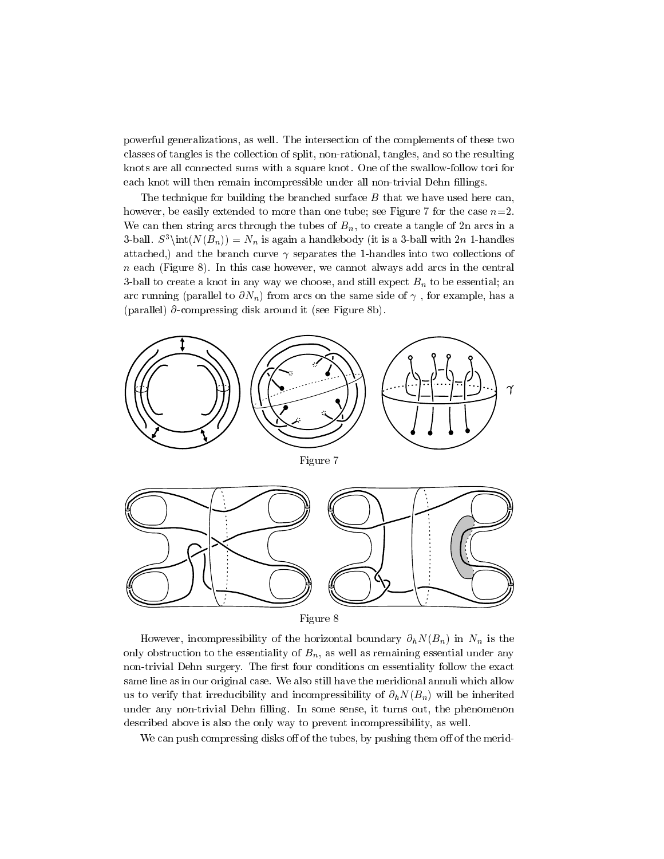powerful generalizations, as well. The intersection of the complements of these two classes of tangles is the collection of split, non-rational, tangles, and so the resulting knots are all connected sums with a square knot. One of the swallow-follow tori for each knot will then remain incompressible under all non-trivial Dehn fillings.

The technique for building the branched surface  $B$  that we have used here can, however, be easily extended to more than one tube; see Figure 7 for the case  $n=2$ . We can then string arcs through the tubes of  $B_n$ , to create a tangle of 2n arcs in a 3-ball.  $S^3\int(N(B_n)) = N_n$  is again a handlebody (it is a 3-ball with 2n 1-handles attached,) and the branch curve  $\gamma$  separates the 1-handles into two collections of  $n$  each (Figure 8). In this case however, we cannot always add arcs in the central 3-ball to create a knot in any way we choose, and still expect  $B_n$  to be essential; an arc running (parallel to  $\partial N_n$ ) from arcs on the same side of  $\gamma$ , for example, has a (parallel) @-compressing disk around it (see Figure 8b).



However, incompressibility of the horizontal boundary  $\partial_h N(B_n)$  in  $N_n$  is the only obstruction to the essentiality of  $B_n$ , as well as remaining essential under any non-trivial Dehn surgery. The first four conditions on essentiality follow the exact same line as in our original case. We also still have the meridional annuli which allow us to verify that irreducibility and incompressibility of  $\partial_h N(B_n)$  will be inherited under any non-trivial Dehn filling. In some sense, it turns out, the phenomenon described above is also the only way to prevent incompressibility, as well.

We can push compressing disks of of the tubes, by pushing them off of the merid-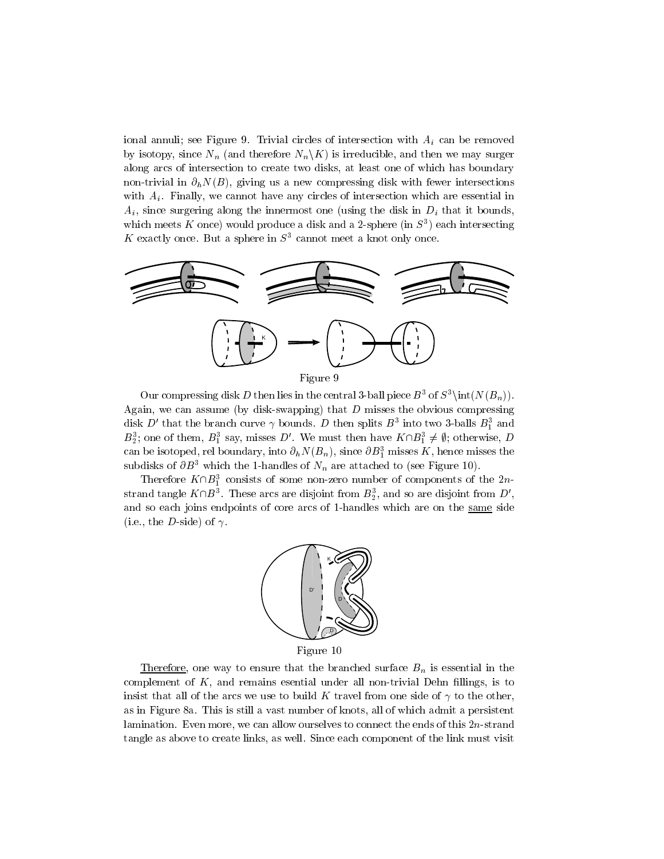ional annuli; see Figure 9. Trivial circles of intersection with  $A_i$  can be removed by isotopy, since  $N_n$  (and therefore  $N_n\backslash K$ ) is irreducible, and then we may surger along arcs of intersection to create two disks, at least one of which has boundary non-trivial in  $\partial_h N(B)$ , giving us a new compressing disk with fewer intersections with  $A_i$ . Finally, we cannot have any circles of intersection which are essential in  $A_i$ , since surgering along the innermost one (using the disk in  $D_i$  that it bounds, which meets  $\bf{A}$  once) would produce a disk and a 2-sphere (in  $\beta$  ) each intersecting K exactly once. But a sphere in  $S<sup>3</sup>$  cannot meet a knot only once.



Our compressing disk D then lies in the central 3-ball piece  $B^3$  of  $S^3\int (N(B_n))$ . Again, we can assume (by disk-swapping) that  $D$  misses the obvious compressing disk  $D$  that the branch curve  $\gamma$  bounds.  $D$  then splits  $D$  -filto two 3-balls  $D_1$  and  $B_2$ ; one of them,  $B_1$  say, misses D . We must then have  $K \cap B_1 \neq \emptyset$ ; otherwise, D can be isotoped, ref boundary, filto  $\partial_h N(D_n)$ , since  $\partial D_1$  misses  $K$ , hence misses the subdisks of  $\partial B^3$  which the 1-handles of  $N_n$  are attached to (see Figure 10).

Therefore  $K\Box D_1^{\dagger}$  consists of some non-zero number of components of the 2nstrand tangle A  $\Box$   $B$   $\Box$  . These arcs are disjoint from  $B_2^{},$  and so are disjoint from  $D$  , and so each joins endpoints of core arcs of 1-handles which are on the same side (i.e., the *D*-side) of  $\gamma$ .



Figure 10

Therefore, one way to ensure that the branched surface  $B_n$  is essential in the complement of  $K$ , and remains esential under all non-trivial Dehn fillings, is to insist that all of the arcs we use to build K travel from one side of  $\gamma$  to the other, as in Figure 8a. This is still a vast number of knots, all of which admit a persistent lamination. Even more, we can allow ourselves to connect the ends of this  $2n$ -strand tangle as above to create links, as well. Since each component of the link must visit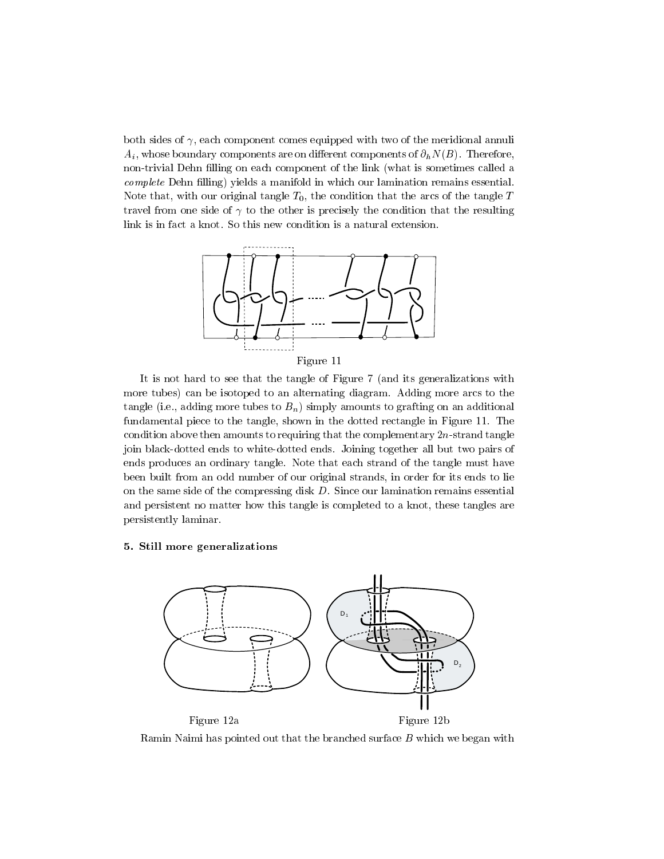both sides of  $\gamma$ , each component comes equipped with two of the meridional annuli  $A_i$ , whose boundary components are on different components of  $\partial_h N(B)$ . Therefore, non-trivial Dehn filling on each component of the link (what is sometimes called a complete Dehn filling) yields a manifold in which our lamination remains essential. Note that, with our original tangle  $T_0$ , the condition that the arcs of the tangle T travel from one side of  $\gamma$  to the other is precisely the condition that the resulting link is in fact a knot. So this new condition is a natural extension.



Figure 11

It is not hard to see that the tangle of Figure 7 (and its generalizations with more tubes) can be isotoped to an alternating diagram. Adding more arcs to the tangle (i.e., adding more tubes to  $B_n$ ) simply amounts to grafting on an additional fundamental piece to the tangle, shown in the dotted rectangle in Figure 11. The condition above then amounts to requiring that the complementary  $2n$ -strand tangle join black-dotted ends to white-dotted ends. Joining together all but two pairs of ends produces an ordinary tangle. Note that each strand of the tangle must have been built from an odd number of our original strands, in order for its ends to lie on the same side of the compressing disk  $D$ . Since our lamination remains essential and persistent no matter how this tangle is completed to a knot, these tangles are persistently laminar.

### 5. Still more generalizations



Ramin Naimi has pointed out that the branched surface  $B$  which we began with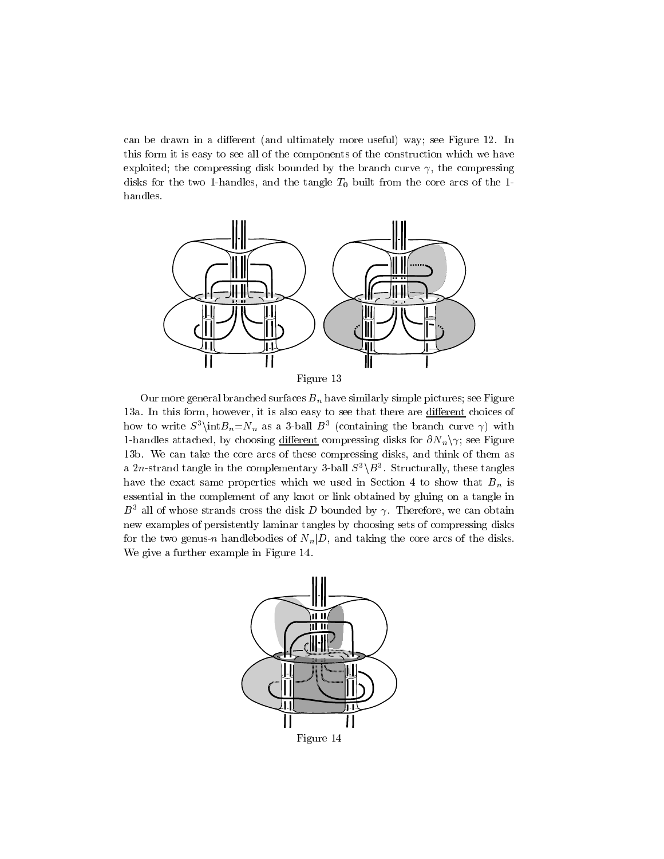can be drawn in a different (and ultimately more useful) way; see Figure 12. In this form it is easy to see all of the components of the construction which we have exploited; the compressing disk bounded by the branch curve  $\gamma$ , the compressing disks for the two 1-handles, and the tangle  $T_0$  built from the core arcs of the 1handles.



Figure 13

Our more general branched surfaces  $B_n$  have similarly simple pictures; see Figure 13a. In this form, however, it is also easy to see that there are different choices of how to write  $S^*$  (int $D_n = N_n$  as a 3-ball  $D^*$  (containing the branch curve  $\gamma$ ) with 1-handles attached, by choosing different compressing disks for  $\partial N_n \gamma$ ; see Figure 13b. We can take the core arcs of these compressing disks, and think of them as a *2n*-strand tangle in the complementary  $3$ -ball  $5$  \ $D$  . Structurally, these tangles have the exact same properties which we used in Section 4 to show that  $B_n$  is essential in the complement of any knot or link obtained by gluing on a tangle in  $B^3$  all of whose strands cross the disk D bounded by  $\gamma$ . Therefore, we can obtain new examples of persistently laminar tangles by choosing sets of compressing disks for the two genus-n handlebodies of  $N_n|D$ , and taking the core arcs of the disks. We give a further example in Figure 14.



Figure 14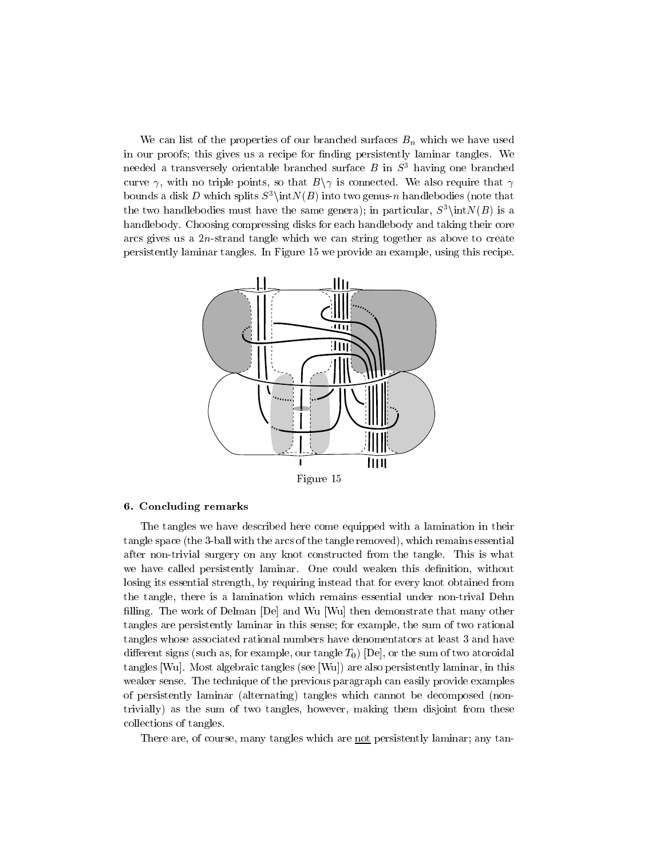We can list of the properties of our branched surfaces  $B_n$  which we have used in our proofs; this gives us a recipe for finding persistently laminar tangles. We needed a transversely orientable branched surface  $B$  in  $S<sup>3</sup>$  having one branched curve  $\gamma$ , with no triple points, so that  $B\setminus\gamma$  is connected. We also require that  $\gamma$ bounds a disk D which splits  $S^3\int(N(B))$  into two genus-n handlebodies (note that the two handlebodies must have the same genera); in particular,  $S^3\int N(B)$  is a handlebody. Choosing compressing disks for each handlebody and taking their core arcs gives us a 2n-strand tangle which we can string together as above to create persistently laminar tangles. In Figure 15 we provide an example, using this recipe.



Figure 15

# 6. Concluding remarks

The tangles we have described here come equipped with a lamination in their tangle space (the 3-ball with the arcs of the tangle removed), which remains essential after non-trivial surgery on any knot constructed from the tangle. This is what we have called persistently laminar. One could weaken this definition, without losing its essential strength, by requiring instead that for every knot obtained from the tangle, there is a lamination which remains essential under non-trival Dehn filling. The work of Delman [De] and Wu [Wu] then demonstrate that many other tangles are persistently laminar in this sense; for example, the sum of two rational tangles whose associated rational numbers have denomentators at least 3 and have different signs (such as, for example, our tangle  $T_0$ ) [De], or the sum of two atoroidal tangles [Wu]. Most algebraic tangles (see [Wu]) are also persistently laminar, in this weaker sense. The technique of the previous paragraph can easily provide examples of persistently laminar (alternating) tangles which cannot be decomposed (nontrivially) as the sum of two tangles, however, making them disjoint from these collections of tangles.

There are, of course, many tangles which are not persistently laminar; any tan-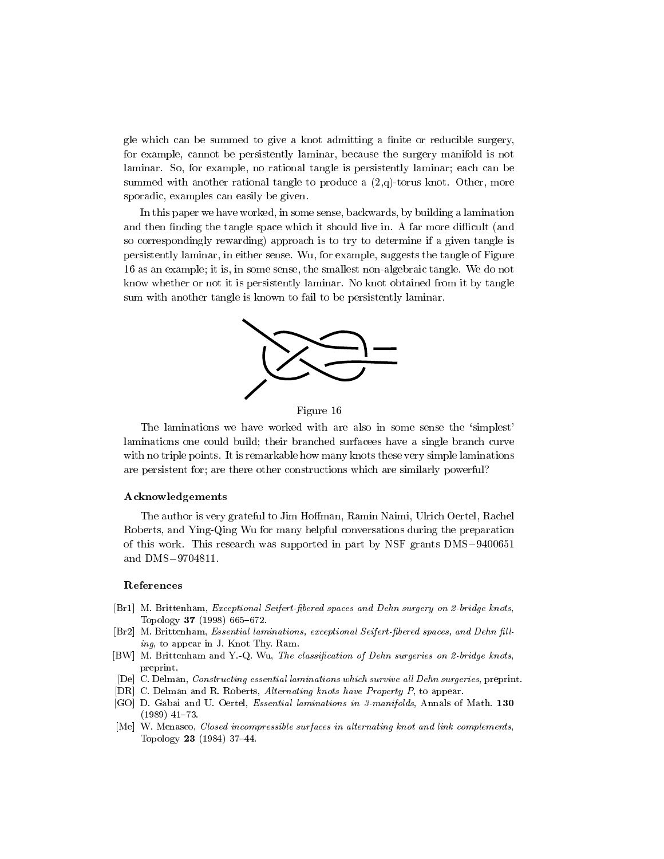gle which can be summed to give a knot admitting a finite or reducible surgery, for example, cannot be persistently laminar, because the surgery manifold is not laminar. So, for example, no rational tangle is persistently laminar; each can be summed with another rational tangle to produce a  $(2,q)$ -torus knot. Other, more sporadic, examples can easily be given.

In this paper we have worked, in some sense, backwards, by building a lamination and then finding the tangle space which it should live in. A far more difficult (and so correspondingly rewarding) approach is to try to determine if a given tangle is persistently laminar, in either sense. Wu, for example, suggests the tangle of Figure 16 as an example; it is, in some sense, the smallest non-algebraic tangle. We do not know whether or not it is persistently laminar. No knot obtained from it by tangle sum with another tangle is known to fail to be persistently laminar.



Figure 16

The laminations we have worked with are also in some sense the 'simplest' laminations one could build; their branched surfacees have a single branch curve with no triple points. It is remarkable how many knots these very simple laminations are persistent for; are there other constructions which are similarly powerful?

### Acknowledgements

The author is very grateful to Jim Hoffman, Ramin Naimi, Ulrich Oertel, Rachel Roberts, and Ying-Qing Wu for many helpful conversations during the preparation of this work. This research was supported in part by NSF grants  $DMS-9400651$ and  $DMS-9704811$ .

#### References

- [Br1] M. Brittenham, Exceptional Seifert-bered spaces and Dehn surgery on 2-bridge knots, Topology 37 (1998) 665-672.
- [Br2] M. Brittenham, *Essential laminations, exceptional Seifert-fibered spaces, and Dehn fill*ing, to appear in J. Knot Thy. Ram.
- [BW] M. Brittenham and Y.-Q. Wu, The classification of Dehn surgeries on 2-bridge knots, preprint.
- [De] C. Delman, Constructing essential laminations which survive all Dehn surgeries, preprint.
- [DR] C. Delman and R. Roberts, Alternating knots have Property P, to appear.
- [GO] D. Gabai and U. Oertel, Essential laminations in 3-manifolds, Annals of Math. <sup>130</sup>  $(1989)$  41-73.
- [Me] W. Menasco, Closed incompressible surfaces in alternating knot and link complements, Topology  $23$  (1984) 37-44.